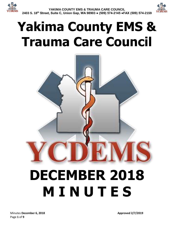

# **Yakima County EMS & Trauma Care Council**

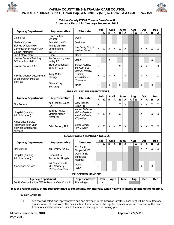



#### **Yakima County EMS & Trauma Care Council Attendance Record for January– December 2018**

| <b>Agency/Department</b>                                                   | Representative                                       | <b>Alternate</b>                                                      |                    | Feb |             | <b>April</b> |              | <b>June</b> |             | Aug |                    | <b>Oct</b>   |             | <b>Dec</b> |  |
|----------------------------------------------------------------------------|------------------------------------------------------|-----------------------------------------------------------------------|--------------------|-----|-------------|--------------|--------------|-------------|-------------|-----|--------------------|--------------|-------------|------------|--|
|                                                                            |                                                      |                                                                       | R                  | A   | R.          | $\mathbf{A}$ | $\mathbf R$  | A           | R           | A   | R                  | A            | R           | A          |  |
| Consumer                                                                   | Loren Belton,<br><b>YVCOG</b>                        | Open                                                                  |                    |     |             |              |              |             |             |     |                    |              |             |            |  |
| <b>Medical Control</b>                                                     | Ben Maltz MPD                                        | Designee                                                              |                    |     |             |              |              |             |             |     |                    |              |             |            |  |
| Elected Official (Fire<br>Commissioner/Mayor/City<br>Council Member)       | Ken Eakin, Fire<br>Commissioner,<br><b>WVFD</b>      | Kay Funk, City of<br>Yakima Council                                   | $\pmb{\mathsf{X}}$ | X   | X           | X            | X            | X           |             |     | X                  | X            | X           | X          |  |
| Law Enforcement                                                            | Open                                                 | Open                                                                  |                    |     |             |              |              |             |             |     |                    |              |             |            |  |
| Yakima County Training<br>Officer's Association                            | Jim Johnston, West<br>Valley FD                      | Open                                                                  |                    |     | X           |              |              |             |             |     |                    |              | X           |            |  |
| Yakima County 9-1-1                                                        | Brad Coughenour,<br>SunCom 911                       | Stacey Garcia,<br>SunCom 911                                          | $\mathsf{x}$       |     |             |              | X            |             |             |     | Χ                  | X            |             | X          |  |
| Yakima County Department<br>of Emergency Medical<br><b>Services</b>        | Tony Miller,<br>Manager                              | Wendy Moudy,<br>Training<br>Coordinator,<br>Treasurer                 | X                  | X   | X           | X            |              | X           |             |     | Χ                  | X            |             | X          |  |
|                                                                            | Diane Koch,<br>Secretary                             | None                                                                  | X                  |     | X           |              | X            |             |             |     | X                  |              | X           |            |  |
| <b>UPPER VALLEY REPRESENTATIVES</b>                                        |                                                      |                                                                       |                    |     |             |              |              |             |             |     |                    |              |             |            |  |
| <b>Agency/Department</b>                                                   | <b>Representative</b>                                | <b>Alternate</b>                                                      |                    | Feb |             | <b>April</b> |              | <b>June</b> |             | Aug |                    | <b>Oct</b>   |             | <b>Dec</b> |  |
|                                                                            |                                                      |                                                                       | R                  | A   | $\mathbf R$ | A            | $\mathsf{R}$ | A           | R           | A   | $\mathbf R$        | A            | $\mathbf R$ | A          |  |
| <b>Fire Service</b>                                                        | Ken Frazier, Gleed<br><b>FD</b>                      | Gary Hanna,<br>Selah FD                                               | $\mathsf{X}$       |     |             |              | X            | X           |             |     | X                  | X            | X           | X          |  |
| Hospital (Nursing<br>Administration)                                       | Tammy Pettis,<br>Virginia Mason<br>Memorial          | Laurie Robinson,<br>Astria Regional<br>Medical Center,<br>Chair-Elect | $\pmb{\mathsf{X}}$ | X   | X           |              | X            |             |             |     | X                  |              | X           | X          |  |
| Ambulance Service<br>(alternate each year<br>between ambulance<br>services | Brian Ireton, ALS                                    | Dave Lynde,<br>AMR, Chair                                             | Χ                  | X   | X           | X            | X            | X           |             |     | X                  | X            | X           | X          |  |
|                                                                            |                                                      | <b>LOWER VALLEY REPRESENTATIVES</b>                                   |                    |     |             |              |              |             |             |     |                    |              |             |            |  |
| <b>Agency/Department</b>                                                   | Representative                                       | <b>Alternate</b>                                                      |                    | Feb |             | <b>April</b> |              | <b>June</b> |             | Aug |                    | <b>Oct</b>   |             | <b>Dec</b> |  |
|                                                                            |                                                      |                                                                       | R.                 | A   | $\mathbf R$ | A            | $\mathbf R$  | A           | $\mathbf R$ | A   | $\pmb{\mathsf{R}}$ | $\mathbf{A}$ | $\mathbf R$ | A          |  |
| <b>Fire Service</b>                                                        | Joel Byam, FD #5                                     | Tim Smith,<br>Toppenish FD                                            |                    |     |             |              |              |             |             |     | X                  | X            | X           | X          |  |
| Hospital (Nursing<br>Administration)                                       | Open Astria<br>Toppenish Hospital                    | Open Astria<br>Sunnyside<br>Hospital                                  |                    |     |             |              |              |             |             |     |                    |              |             |            |  |
| Ambulance Service                                                          | Aaron Markham,<br>YFD (formerly<br>SSFD), Past-Chair | Open,<br><b>WSA</b>                                                   | X                  |     |             |              |              |             |             |     | X                  |              | X           |            |  |
| <b>EX-OFFICIO MEMBERS</b>                                                  |                                                      |                                                                       |                    |     |             |              |              |             |             |     |                    |              |             |            |  |
| <b>Agency/Department</b>                                                   |                                                      | Representative                                                        |                    | Feb |             | <b>April</b> |              | <b>June</b> |             | Aug |                    | Oct          |             | <b>Dec</b> |  |
| South Central Region EMS & Trauma Care Council                             |                                                      | Zita Wiltgen                                                          |                    | X   |             |              |              |             |             |     |                    |              |             |            |  |

#### **It is the responsibility of the representative to contact his/her alternate when he/she is unable to attend the meeting.**

By-Law, Article III

1.1 Each seat will select one representative and one alternate to the Board of Directors. Each seat will be permitted one representative with one vote. Alternates vote in the absence of the regular representative. All members of the Board of Directors shall be selected prior to the annual meeting for the coming year.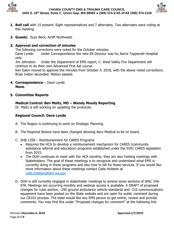



- **1. Roll call** with 15 present. Eight representatives and 7 alternates. Two alternates were voting at this meeting.
- **2. Guests**: Suzy Beck, Airlift Northwest.

# **3. Approval and correction of minutes**

The following corrections were noted for the October minutes: Dave Lynde: Under Correspondence the new ER Director was for Astria Toppenish Hospital only.

Jim Johnston: Under the Department of EMS report, C. West Valley Fire Department will continue to do their own Advanced First Aid course.

Ken Eakin moved to approve the minutes from October 4, 2018, with the above noted corrections. Brian Ireton seconded. Motion passed.

**4. Correspondence** – Dave Lynde **None**.

### **5. Committee Reports**

**Medical Control: Ben Maltz, MD – Wendy Moudy Reporting**

Dr. Maltz is still working on updating the protocols.

# **Regional Council: Dave Lynde**

- A. The Region is continuing to work on Strategic Planning.
- B. The Regional Bylaws have been changed allowing Aero Medical to be on board.
- C. SHB 1358 Reimbursement for CARES Programs
	- Requires the HCA to develop a reimbursement mechanism for CARES (community assistance referral and education) programs established under the 5591 CARES legislation from 2015.
	- The DOH continues to meet with the HCA monthly, they are also holding meetings with Stakeholders. The goal of these meetings is to recognize and understand what EMS is currently doing in these programs and also how to bill for these services. If you would like more information about these meetings contact Catie Holstein at [catie.holstein@doh.wa.gov](mailto:catie.holstein@doh.wa.gov)
- D. DOH is still currently engaged in stakeholder meetings to amend some sections of WAC 246- 976. Meetings are occurring monthly and webinar access is available. A DRAFT of proposed changes for rules section, -290 ground ambulance vehicle standards and -310 communications equipment have been posted on the State website and are open for public comment during our CR101 process. The state would like any EMS person to get online, review and provide comments. You may find this under "Proposed changes for comment" at the following link: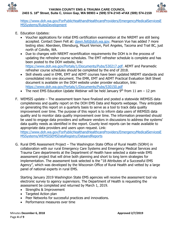



[https://www.doh.wa.gov/ForPublicHealthandHealthcareProviders/EmergencyMedicalServicesE](https://www.doh.wa.gov/ForPublicHealthandHealthcareProviders/EmergencyMedicalServicesEMSSystems/RulesDevelopment) [MSSystems/RulesDevelopment](https://www.doh.wa.gov/ForPublicHealthandHealthcareProviders/EmergencyMedicalServicesEMSSystems/RulesDevelopment)

- E. Education Updates:
	- Voucher applications for initial EMS certification examination at the NREMT are still being accepted. Contact Dawn Felt at: [dawn.felt@doh.wa.gov.](mailto:dawn.felt@doh.wa.gov) Pearson Vue has added 7 more testing sites: Aberdeen, Ellensburg, Mount Vernon, Port Angeles, Tacoma and Trail BC, just north of Colville, WA.
	- Due to changes with NREMT recertification requirements the DOH is in the process of updating the refresher course schedules. The EMT refresher schedule is complete and has been posted to the DOH website, link: [https://www.doh.wa.gov/Portals/1/Documents/Pubs/530217.pdf.](https://www.doh.wa.gov/Portals/1/Documents/Pubs/530217.pdf) AEMT and Paramedic refresher course schedules should be completed by the end of 2018.
	- Skill sheets used in EMR, EMT and AEMT courses have been updated NREMT standards and consolidated into one document. The EMR, EMT and AEMT Practical Evaluation Skill Sheet document is available on the DOH website under provider education, link: <https://www.doh.wa.gov/Portals/1/Documents/Pubs/530150.pdf>
	- The next EMS Education Update Webinar will be held January  $9<sup>th</sup>$  from 11 am 12 pm
- F. WEMSIS update The assessment team have finalized and posted a statewide WEMSIS data completeness and quality report on the DOH EMS Data and Reports webpage. They anticipate on generating this report on a quarterly basis to serve as a tool to track data quality improvement over time. The purpose of this report is to inform data users of WEMSIS data quality and to monitor data quality improvement over time. The information presented should be used to engage data providers and software vendors in discussions to address the systems' data quality needs as identified in the report. County level reports can be made available to appropriate data providers and users upon request. Link:

[https://www.doh.wa.gov/ForPublicHealthandHealthcareProviders/EmergencyMedicalServicesE](https://www.doh.wa.gov/ForPublicHealthandHealthcareProviders/EmergencyMedicalServicesEMSSystems/WEMSISEMSDataRegistry/DataandReports) [MSSystems/WEMSISEMSDataRegistry/DataandReports](https://www.doh.wa.gov/ForPublicHealthandHealthcareProviders/EmergencyMedicalServicesEMSSystems/WEMSISEMSDataRegistry/DataandReports)

G. Rural EMS Assessment Project – The Washington State Office of Rural Health (SORH) in collaboration with our rural Emergency Care Systems and Emergency Medical Services and Trauma Care departments at the Department of Health have selected a state-wide EMS assessment project that will drive both planning and short to long term strategies for implementation. The assessment took selected is the "18 Attributes of a Successful EMS Agency", which was developed by the Wisconsin Office of Rural Health and vetted by a large panel of national experts in rural EMS.

Starting January 2019 Washington State EMS agencies will receive the assessment tool via electronic survey to agency supervisors. The Department of Health is requesting the assessment be completed and returned by March 1, 2019.

- Strengths & Improvement
- Targeted Action plan
- Peer Networks for successful practices and innovations.
- Performance measures over time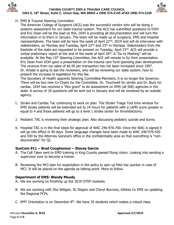



# H. EMS & Trauma Steering Committee

The American College of Surgeons (ACS) was the successful vendor who will be doing a systems assessment for our state trauma system. The ACS has submitted questions to DOH and Eric Dean will be the lead on this. DOH is providing all documentation and will turn the information in to them in January. The team will be made up of surgeons, EMS and hospital representatives. The team will be here the week of April 22<sup>nd</sup>, 2019 and will do interviews with stakeholders, on Monday and Tuesday, April 22<sup>nd</sup> and 23<sup>rd</sup> in Olympia. Stakeholders from the Eastside of the state are requested to be present on Tuesday, April 23rd. ACS will provide a verbal preliminary report at the end of the week of April 26<sup>th</sup>. A "Go to Meeting" will be available. At the May 15<sup>th</sup> Steering Committee, the ACE will remote in for their presentation. Eric Dean from DOH gave a presentation on the trauma care fund spending plan development. The revenue from car sales of \$6.50 per transaction has not been increased since 1997. Dr. Arbabi is going to ask the reviewers, who will be reviewing our state system, how to present the increase to legislation for this fee.

The Secretary of Health appoints Steering Committee Members, it is no longer the Governor. There will be two new Co-Chairs for the Committee. Dr. Tirschwell for stroke and Dr. Buck for cardiac. DOH has received a "flex grant" to do assessment on EMS (all 506) agencies in the state. A survey of 18 questions will be sent out in January and will be reviewed by an outside agency.

- I. Stroke and Cardiac Tac continuing to work on plan. The Stroke Triage Tool time window for EMS stroke patients will be extended out to 24 hours for patients with a LAMS score greater or equal to 4 and those patients will go to a level 1 stroke center for thrombectomy.
- J. Pediatric TAC is reviewing their strategic plan. Also discussing pediatric suicide and burns.
- K. Hospital TAC is in the final steps for approval of WAC 246-976-700. Once the WAC is signed it will go into effect in 40 days. Some language changes have been made to WAC 246-976-420 and 430 by the Attorney General's office in the confidentiality area so that everything is "nondiscoverable" for QI.

# **SunCom 911 – Brad Coughenour – Stacey Garcia**

- A. The Call Taker sent to EMD training in King County passed flying colors. Looking into sending a supervisor over to become a trainer.
- B. Reviewing the MCI plan for expectation in the policy to spin up Med Vac quicker in case of MCI. It will be placed on the agenda as talking point. More to follow.

### **Department of EMS: Wendy Moudy**

- A. We are working on finishing up the 2019 OTEP modules.
- B. We are working with Zita Wiltgen, SC Region and Cheryl Burrows, Kittitas Co EMS on updating the Regional PCPs.
- C. EMT Orientation is on December  $8<sup>th</sup>$ . We have 35 students which makes a robust class.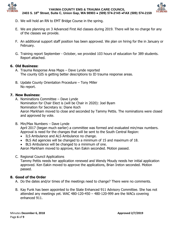



- D. We will hold an RN to EMT Bridge Course in the spring.
- E. We are planning on 3 Advanced First Aid classes during 2019. There will be no charge for any of the classes we provide.
- F. An additional support staff position has been approved. We plan on hiring for the in January or February.
- G. Training report September October, we provided 103 hours of education for 389 students. Report attached.

# **6. Old Business:**

- A. Trauma Response Area Maps Dave Lynde reported The county GIS is getting better descriptions to ID trauma response areas.
- B. Update County Orientation Procedure Tony Miller No report.

# **7. New Business:**

- A. Nominations Committee Dave Lynde Nomination for Chair Elect is (will be Chair in 2020): Joel Byam Nomination for Secretary is: Diane Koch Aaron Markham moved to close and seconded by Tammy Pettis. The nominations were closed and approved by vote.
- B. Min/Max Numbers Dave Lynde April 2017 (began much earlier) a committee was formed and evaluated min/max numbers. Approval is need for the changes that will be sent to the South Central Region:
	- ILS Ambulance and ALS Ambulance no change.
	- BLS Aid agencies will be changed to a minimum of 15 and maximum of 18.
	- BLS Ambulance will be changed to a minimum of one.

Aaron Markham moved to approve, Ken Eakin seconded. Motion passed.

C. Regional Council Applications

Tammy Pettis needs her application renewed and Wendy Moudy needs her initial application approved. Ken Eakin moved to approve the applications, Brian Ireton seconded. Motion passed.

# **8. Good of the Order**

A. Do the dates and/or times of the meetings need to change? There were no comments.

B. Kay Funk has been appointed to the State Enhanced 911 Advisory Committee. She has not attended any meetings yet. WAC 480-120-450 – 480-120-999 are the WACs covering enhanced 911.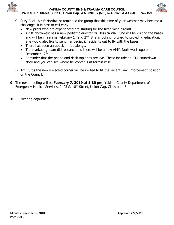



- C. Suzy Beck, Airlift Northwest reminded the group that this time of year weather may become a challenge. It is best to call early.
	- New pilots who are experienced are starting for the fixed wing aircraft.
	- Airlift Northwest has a new pediatric director Dr. Jessica Wall. She will be visiting the bases and will be in Yakima February  $1<sup>st</sup>$  and  $2<sup>nd</sup>$ . She is looking forward to providing education. She would also like to send her pediatric residents out to fly with the bases.
	- There has been an uptick in ride alongs.
	- The marketing team did research and there will be a new Airlift Northwest logo on December 12<sup>th</sup>.
	- Reminder that the phone and desk top apps are live. These include an ETA countdown clock and you can see where helicopter is at terrain wise.
- D. Jim Curtis the newly elected corner will be invited to fill the vacant Law Enforcement position on the Council.
- **9.** The next meeting will be **February 7, 2019 at 1:30 pm,** Yakima County Department of Emergency Medical Services, 2403 S. 18th Street, Union Gap, Classroom B.
- **10.** Meeting adjourned.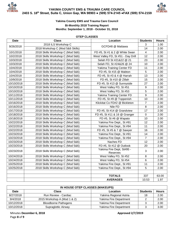



#### **Yakima County EMS and Trauma Care Council Bi-Monthly 2018 Training Report Months: September 1, 2018 - October 31, 2018**

#### **OTEP CLASSES**

| <b>Date</b> | <b>Class</b>                     | Location                              | <b>Students</b>  | <b>Hours</b> |
|-------------|----------------------------------|---------------------------------------|------------------|--------------|
| 9/26/2018   | 2018 ILS Workshop C              | GCFD#8 @ Mattawa                      | 3                | 1.00         |
|             | 2018 Workshop C (Mod 5&6 Skills) |                                       | 14               | 2.00         |
| 10/1/2018   | 2018 Skills Workshop C (Mod 5&6) | FD #5, St #1 & 2 @ White Swan         | $\overline{4}$   | 2.00         |
| 10/2/2018   | 2018 Skills Workshop C (Mod 5&6) | West Valley FD, St #51 - Day Drill    | 12               | 2.00         |
| 10/3/2018   | 2018 Skills Workshop C (Mod 5&6) | Selah FD St #21&22 @ 21               | 23               | 2.00         |
| 10/3/2018   | 2018 Skills Workshop C (Mod 5&6) | Selah FD, St #24&26 @ 24              | 10               | 2.00         |
| 10/4/2018   | 2018 Skills Workshop C (Mod 5&6) | Yakima Training Center FD             | 11               | 2.00         |
| 10/4/2018   | 2018 Skills Workshop C (Mod 5&6) | FD #5, St #15 @ Mabton                | 5                | 2.00         |
| 10/4/2018   | 2018 Skills Workshop C (Mod 5&6) | FD #5, St #3 & 4 @ Harrah             | 13               | 2.00         |
| 10/9/2018   | 2018 Skills Workshop C (Mod 5&6) | FD #5, St #10 @ Zillah                | 15               | 2.00         |
| 10/10/2018  | 2018 Skills Workshop C (Mod 5&6) | FD #5, St #13 @ Sunnyside             | 27               | 2.00         |
| 10/10/2018  | 2018 Skills Workshop C (Mod 5&6) | West Valley FD, St #51                | $\boldsymbol{9}$ | 2.00         |
| 10/10/2018  | 2018 Skills Workshop C (Mod 5&6) | West Valley FD, St #53                | $\overline{5}$   | 2.00         |
| 10/11/2018  | 2018 Skills Workshop C (Mod 5&6) | Yakima Training Center FD             | $9\,$            | 2.00         |
| 10/11/2018  | 2018 Skills Workshop C (Mod 5&6) | FD #5, St #9 @ Toppenish              | 10               | 2.00         |
| 10/16/2018  | 2018 Skills Workshop C (Mod 5&6) | Klickitat Co FD#2 @ Bickleton         | $\overline{7}$   | 2.00         |
| 10/16/2018  | 2018 Skills Workshop C (Mod 5&6) | Nile FD                               | 8                | 2.00         |
| 10/17/2018  | 2018 Skills Workshop C (Mod 5&6) | FD #5, St #14 @ Grandview             | 17               | 2.00         |
| 10/18/2018  | 2018 Skills Workshop C (Mod 5&6) | FD #5, St #11 & 16 @ Granger          | $\mathbf 0$      | 2.00         |
| 10/18/2018  | 2018 Skills Workshop C (Mod 5&6) | FD #5, St #6 @ Wapato                 | 10               | 2.00         |
| 10/22/2018  | 2018 Skills Workshop C (Mod 5&6) | Yakima Fire Dept., St #91             | 12               | 2.00         |
| 10/22/2018  | 2018 Skills Workshop C (Mod 5&6) | Yakima Fire Dept., St #94             | 11               | 2.00         |
| 10/22/2018  | 2018 Skills Workshop C (Mod 5&6) | FD #5, St #5 & 7 @ Sawyer             | 16               | 2.00         |
| 10/23/2018  | 2018 Skills Workshop C (Mod 5&6) | Yakima Fire Dept., St #91             | 14               | 2.00         |
| 10/23/2018  | 2018 Skills Workshop C (Mod 5&6) | Yakima Fire Dept., St #94             | $\overline{7}$   | 2.00         |
| 10/23/2018  | 2018 Skills Workshop C (Mod 5&6) | Naches FD                             | 12               | 2.00         |
| 10/23/2018  | 2018 Skills Workshop C (Mod 5&6) | FD #5, St #12 @ Outlook               | 20               | 2.00         |
| 10/23/2018  | 2018 Skills Workshop C (Mod 5&6) | Yakima Fire Dept, St#95 -<br>Reserves | $\mathfrak{S}$   | 2.00         |
| 10/24/2018  | 2018 Skills Workshop C (Mod 5&6) | West Valley FD, St #52                | 8                | 2.00         |
| 10/24/2018  | 2018 Skills Workshop C (Mod 5&6) | West Valley FD, St #54                | 6                | 2.00         |
| 10/25/2018  | 2018 Skills Workshop C (Mod 5&6) | Yakima Fire Dept., St #91             | 11               | 2.00         |
| 10/25/2018  | 2018 Skills Workshop C (Mod 5&6) | Yakima Fire Dept., St #94             | 5                | 2.00         |
|             |                                  |                                       |                  |              |
|             |                                  | <b>TOTALS</b>                         | 337              | 63.00        |
|             |                                  | <b>AVERAGES</b>                       | 10.53            | 1.97         |

| IN HOUSE OTEP CLASSES (MAKEUPS) |                             |                        |                 |              |  |  |
|---------------------------------|-----------------------------|------------------------|-----------------|--------------|--|--|
| Date                            | <b>Class</b><br>Location    |                        | <b>Students</b> | <b>Hours</b> |  |  |
| 8/27/2018                       | Run Review - Cardiac        | Yakima Regional Astria | 18              | 2.00         |  |  |
| 9/4/2018                        | 2015 Workshop A (Mod 1 & 2) | Yakima Fire Department |                 | 2.00         |  |  |
| 10/12/2018                      | <b>Bloodborne Pathogens</b> | Yakima Fire Department |                 | 2.00         |  |  |
| 10/12/2018                      | Supraglottic Airway         | Yakima Fire Department |                 | 3.00         |  |  |